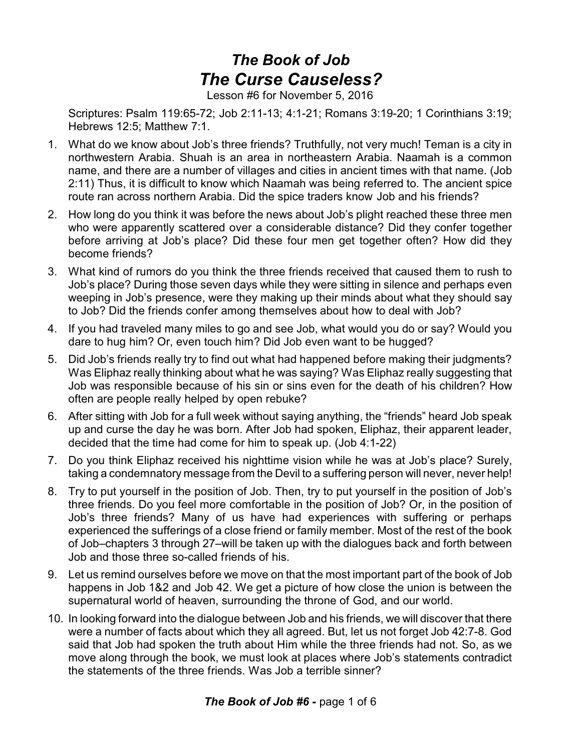## *The Book of Job The Curse Causeless?*

Lesson #6 for November 5, 2016

Scriptures: Psalm 119:65-72; Job 2:11-13; 4:1-21; Romans 3:19-20; 1 Corinthians 3:19; Hebrews 12:5; Matthew 7:1.

- 1. What do we know about Job's three friends? Truthfully, not very much! Teman is a city in northwestern Arabia. Shuah is an area in northeastern Arabia. Naamah is a common name, and there are a number of villages and cities in ancient times with that name. (Job 2:11) Thus, it is difficult to know which Naamah was being referred to. The ancient spice route ran across northern Arabia. Did the spice traders know Job and his friends?
- 2. How long do you think it was before the news about Job's plight reached these three men who were apparently scattered over a considerable distance? Did they confer together before arriving at Job's place? Did these four men get together often? How did they become friends?
- 3. What kind of rumors do you think the three friends received that caused them to rush to Job's place? During those seven days while they were sitting in silence and perhaps even weeping in Job's presence, were they making up their minds about what they should say to Job? Did the friends confer among themselves about how to deal with Job?
- 4. If you had traveled many miles to go and see Job, what would you do or say? Would you dare to hug him? Or, even touch him? Did Job even want to be hugged?
- 5. Did Job's friends really try to find out what had happened before making their judgments? Was Eliphaz really thinking about what he was saying? Was Eliphaz really suggesting that Job was responsible because of his sin or sins even for the death of his children? How often are people really helped by open rebuke?
- 6. After sitting with Job for a full week without saying anything, the "friends" heard Job speak up and curse the day he was born. After Job had spoken, Eliphaz, their apparent leader, decided that the time had come for him to speak up. (Job 4:1-22)
- 7. Do you think Eliphaz received his nighttime vision while he was at Job's place? Surely, taking a condemnatory message from the Devil to a suffering person will never, never help!
- 8. Try to put yourself in the position of Job. Then, try to put yourself in the position of Job's three friends. Do you feel more comfortable in the position of Job? Or, in the position of Job's three friends? Many of us have had experiences with suffering or perhaps experienced the sufferings of a close friend or family member. Most of the rest of the book of Job–chapters 3 through 27–will be taken up with the dialogues back and forth between Job and those three so-called friends of his.
- 9. Let us remind ourselves before we move on that the most important part of the book of Job happens in Job 1&2 and Job 42. We get a picture of how close the union is between the supernatural world of heaven, surrounding the throne of God, and our world.
- 10. In looking forward into the dialogue between Job and his friends, we will discover that there were a number of facts about which they all agreed. But, let us not forget Job 42:7-8. God said that Job had spoken the truth about Him while the three friends had not. So, as we move along through the book, we must look at places where Job's statements contradict the statements of the three friends. Was Job a terrible sinner?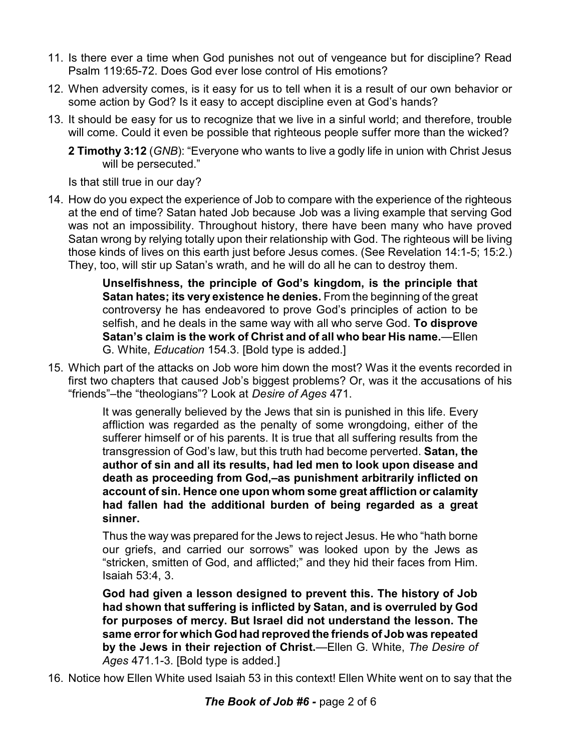- 11. Is there ever a time when God punishes not out of vengeance but for discipline? Read Psalm 119:65-72. Does God ever lose control of His emotions?
- 12. When adversity comes, is it easy for us to tell when it is a result of our own behavior or some action by God? Is it easy to accept discipline even at God's hands?
- 13. It should be easy for us to recognize that we live in a sinful world; and therefore, trouble will come. Could it even be possible that righteous people suffer more than the wicked?

**2 Timothy 3:12** (*GNB*): "Everyone who wants to live a godly life in union with Christ Jesus will be persecuted."

Is that still true in our day?

14. How do you expect the experience of Job to compare with the experience of the righteous at the end of time? Satan hated Job because Job was a living example that serving God was not an impossibility. Throughout history, there have been many who have proved Satan wrong by relying totally upon their relationship with God. The righteous will be living those kinds of lives on this earth just before Jesus comes. (See Revelation 14:1-5; 15:2.) They, too, will stir up Satan's wrath, and he will do all he can to destroy them.

> **Unselfishness, the principle of God's kingdom, is the principle that Satan hates; its very existence he denies.** From the beginning of the great controversy he has endeavored to prove God's principles of action to be selfish, and he deals in the same way with all who serve God. **To disprove Satan's claim is the work of Christ and of all who bear His name.**—Ellen G. White, *Education* 154.3. [Bold type is added.]

15. Which part of the attacks on Job wore him down the most? Was it the events recorded in first two chapters that caused Job's biggest problems? Or, was it the accusations of his "friends"–the "theologians"? Look at *Desire of Ages* 471.

> It was generally believed by the Jews that sin is punished in this life. Every affliction was regarded as the penalty of some wrongdoing, either of the sufferer himself or of his parents. It is true that all suffering results from the transgression of God's law, but this truth had become perverted. **Satan, the author of sin and all its results, had led men to look upon disease and death as proceeding from God,–as punishment arbitrarily inflicted on account of sin. Hence one upon whom some great affliction or calamity had fallen had the additional burden of being regarded as a great sinner.**

> Thus the way was prepared for the Jews to reject Jesus. He who "hath borne our griefs, and carried our sorrows" was looked upon by the Jews as "stricken, smitten of God, and afflicted;" and they hid their faces from Him. Isaiah 53:4, 3.

> **God had given a lesson designed to prevent this. The history of Job had shown that suffering is inflicted by Satan, and is overruled by God for purposes of mercy. But Israel did not understand the lesson. The same error for which God had reproved the friends of Job was repeated by the Jews in their rejection of Christ.**—Ellen G. White, *The Desire of Ages* 471.1-3. [Bold type is added.]

16. Notice how Ellen White used Isaiah 53 in this context! Ellen White went on to say that the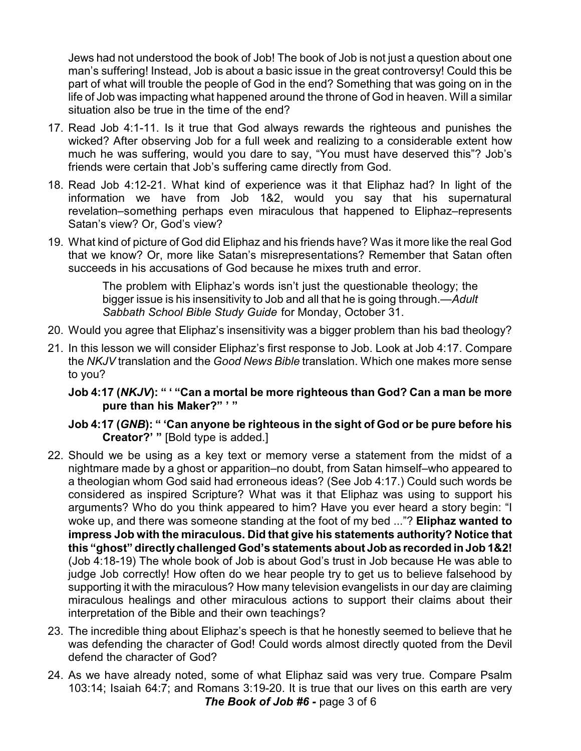Jews had not understood the book of Job! The book of Job is not just a question about one man's suffering! Instead, Job is about a basic issue in the great controversy! Could this be part of what will trouble the people of God in the end? Something that was going on in the life of Job was impacting what happened around the throne of God in heaven. Will a similar situation also be true in the time of the end?

- 17. Read Job 4:1-11. Is it true that God always rewards the righteous and punishes the wicked? After observing Job for a full week and realizing to a considerable extent how much he was suffering, would you dare to say, "You must have deserved this"? Job's friends were certain that Job's suffering came directly from God.
- 18. Read Job 4:12-21. What kind of experience was it that Eliphaz had? In light of the information we have from Job 1&2, would you say that his supernatural revelation–something perhaps even miraculous that happened to Eliphaz–represents Satan's view? Or, God's view?
- 19. What kind of picture of God did Eliphaz and his friends have? Was it more like the real God that we know? Or, more like Satan's misrepresentations? Remember that Satan often succeeds in his accusations of God because he mixes truth and error.

The problem with Eliphaz's words isn't just the questionable theology; the bigger issue is his insensitivity to Job and all that he is going through.—*Adult Sabbath School Bible Study Guide* for Monday, October 31.

- 20. Would you agree that Eliphaz's insensitivity was a bigger problem than his bad theology?
- 21. In this lesson we will consider Eliphaz's first response to Job. Look at Job 4:17. Compare the *NKJV* translation and the *Good News Bible* translation. Which one makes more sense to you?

**Job 4:17 (***NKJV***): " ' "Can a mortal be more righteous than God? Can a man be more pure than his Maker?" ' "**

**Job 4:17 (***GNB***): " 'Can anyone be righteous in the sight of God or be pure before his Creator?' "** [Bold type is added.]

- 22. Should we be using as a key text or memory verse a statement from the midst of a nightmare made by a ghost or apparition–no doubt, from Satan himself–who appeared to a theologian whom God said had erroneous ideas? (See Job 4:17.) Could such words be considered as inspired Scripture? What was it that Eliphaz was using to support his arguments? Who do you think appeared to him? Have you ever heard a story begin: "I woke up, and there was someone standing at the foot of my bed ..."? **Eliphaz wanted to impress Job with the miraculous. Did that give his statements authority? Notice that this "ghost" directly challenged God's statements about Jobas recorded in Job 1&2!** (Job 4:18-19) The whole book of Job is about God's trust in Job because He was able to judge Job correctly! How often do we hear people try to get us to believe falsehood by supporting it with the miraculous? How many television evangelists in our day are claiming miraculous healings and other miraculous actions to support their claims about their interpretation of the Bible and their own teachings?
- 23. The incredible thing about Eliphaz's speech is that he honestly seemed to believe that he was defending the character of God! Could words almost directly quoted from the Devil defend the character of God?
- 24. As we have already noted, some of what Eliphaz said was very true. Compare Psalm 103:14; Isaiah 64:7; and Romans 3:19-20. It is true that our lives on this earth are very *The Book of Job #6 -* page 3 of 6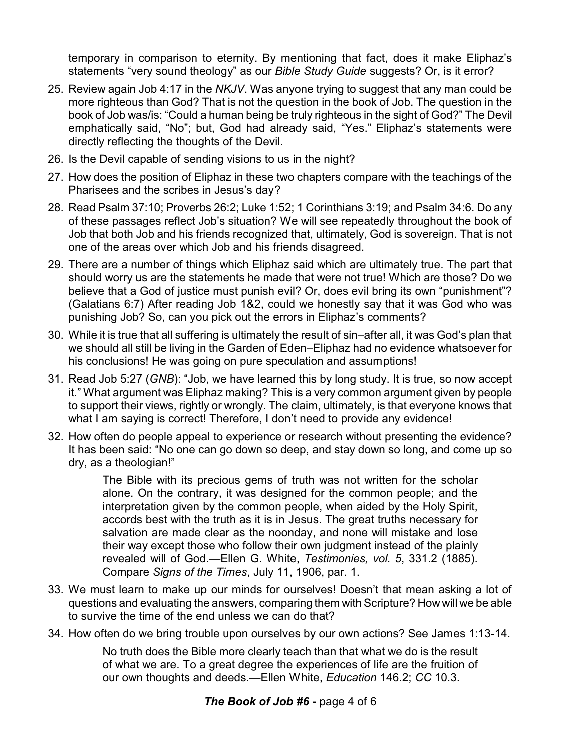temporary in comparison to eternity. By mentioning that fact, does it make Eliphaz's statements "very sound theology" as our *Bible Study Guide* suggests? Or, is it error?

- 25. Review again Job 4:17 in the *NKJV*. Was anyone trying to suggest that any man could be more righteous than God? That is not the question in the book of Job. The question in the book of Job was/is: "Could a human being be truly righteous in the sight of God?" The Devil emphatically said, "No"; but, God had already said, "Yes." Eliphaz's statements were directly reflecting the thoughts of the Devil.
- 26. Is the Devil capable of sending visions to us in the night?
- 27. How does the position of Eliphaz in these two chapters compare with the teachings of the Pharisees and the scribes in Jesus's day?
- 28. Read Psalm 37:10; Proverbs 26:2; Luke 1:52; 1 Corinthians 3:19; and Psalm 34:6. Do any of these passages reflect Job's situation? We will see repeatedly throughout the book of Job that both Job and his friends recognized that, ultimately, God is sovereign. That is not one of the areas over which Job and his friends disagreed.
- 29. There are a number of things which Eliphaz said which are ultimately true. The part that should worry us are the statements he made that were not true! Which are those? Do we believe that a God of justice must punish evil? Or, does evil bring its own "punishment"? (Galatians 6:7) After reading Job 1&2, could we honestly say that it was God who was punishing Job? So, can you pick out the errors in Eliphaz's comments?
- 30. While it is true that all suffering is ultimately the result of sin–after all, it was God's plan that we should all still be living in the Garden of Eden–Eliphaz had no evidence whatsoever for his conclusions! He was going on pure speculation and assumptions!
- 31. Read Job 5:27 (*GNB*): "Job, we have learned this by long study. It is true, so now accept it." What argument was Eliphaz making? This is a very common argument given by people to support their views, rightly or wrongly. The claim, ultimately, is that everyone knows that what I am saying is correct! Therefore, I don't need to provide any evidence!
- 32. How often do people appeal to experience or research without presenting the evidence? It has been said: "No one can go down so deep, and stay down so long, and come up so dry, as a theologian!"

The Bible with its precious gems of truth was not written for the scholar alone. On the contrary, it was designed for the common people; and the interpretation given by the common people, when aided by the Holy Spirit, accords best with the truth as it is in Jesus. The great truths necessary for salvation are made clear as the noonday, and none will mistake and lose their way except those who follow their own judgment instead of the plainly revealed will of God.—Ellen G. White, *Testimonies, vol. 5*, 331.2 (1885). Compare *Signs of the Times*, July 11, 1906, par. 1.

- 33. We must learn to make up our minds for ourselves! Doesn't that mean asking a lot of questions and evaluating the answers, comparing them with Scripture? How will we be able to survive the time of the end unless we can do that?
- 34. How often do we bring trouble upon ourselves by our own actions? See James 1:13-14.

No truth does the Bible more clearly teach than that what we do is the result of what we are. To a great degree the experiences of life are the fruition of our own thoughts and deeds.—Ellen White, *Education* 146.2; *CC* 10.3.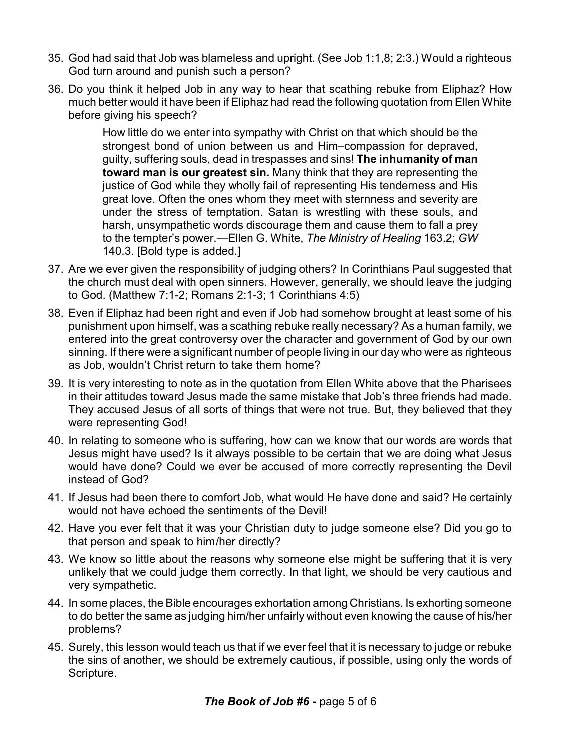- 35. God had said that Job was blameless and upright. (See Job 1:1,8; 2:3.) Would a righteous God turn around and punish such a person?
- 36. Do you think it helped Job in any way to hear that scathing rebuke from Eliphaz? How much better would it have been if Eliphaz had read the following quotation from Ellen White before giving his speech?

How little do we enter into sympathy with Christ on that which should be the strongest bond of union between us and Him–compassion for depraved, guilty, suffering souls, dead in trespasses and sins! **The inhumanity of man toward man is our greatest sin.** Many think that they are representing the justice of God while they wholly fail of representing His tenderness and His great love. Often the ones whom they meet with sternness and severity are under the stress of temptation. Satan is wrestling with these souls, and harsh, unsympathetic words discourage them and cause them to fall a prey to the tempter's power.—Ellen G. White, *The Ministry of Healing* 163.2; *GW* 140.3. [Bold type is added.]

- 37. Are we ever given the responsibility of judging others? In Corinthians Paul suggested that the church must deal with open sinners. However, generally, we should leave the judging to God. (Matthew 7:1-2; Romans 2:1-3; 1 Corinthians 4:5)
- 38. Even if Eliphaz had been right and even if Job had somehow brought at least some of his punishment upon himself, was a scathing rebuke really necessary? As a human family, we entered into the great controversy over the character and government of God by our own sinning. If there were a significant number of people living in our day who were as righteous as Job, wouldn't Christ return to take them home?
- 39. It is very interesting to note as in the quotation from Ellen White above that the Pharisees in their attitudes toward Jesus made the same mistake that Job's three friends had made. They accused Jesus of all sorts of things that were not true. But, they believed that they were representing God!
- 40. In relating to someone who is suffering, how can we know that our words are words that Jesus might have used? Is it always possible to be certain that we are doing what Jesus would have done? Could we ever be accused of more correctly representing the Devil instead of God?
- 41. If Jesus had been there to comfort Job, what would He have done and said? He certainly would not have echoed the sentiments of the Devil!
- 42. Have you ever felt that it was your Christian duty to judge someone else? Did you go to that person and speak to him/her directly?
- 43. We know so little about the reasons why someone else might be suffering that it is very unlikely that we could judge them correctly. In that light, we should be very cautious and very sympathetic.
- 44. In some places, the Bible encourages exhortation among Christians. Is exhorting someone to do better the same as judging him/her unfairly without even knowing the cause of his/her problems?
- 45. Surely, this lesson would teach us that if we ever feel that it is necessary to judge or rebuke the sins of another, we should be extremely cautious, if possible, using only the words of Scripture.